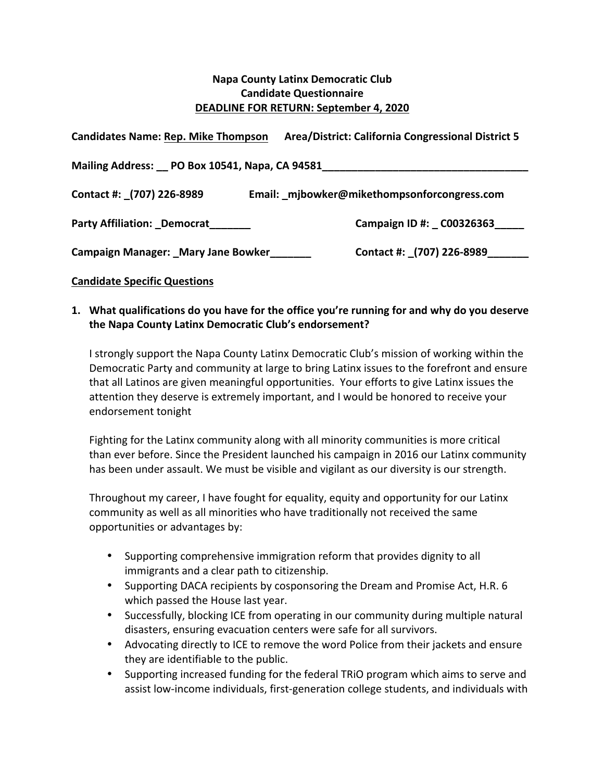### **Napa County Latinx Democratic Club Candidate Questionnaire DEADLINE FOR RETURN: September 4, 2020**

| <b>Candidates Name: Rep. Mike Thompson</b>    | Area/District: California Congressional District 5 |
|-----------------------------------------------|----------------------------------------------------|
| Mailing Address: PO Box 10541, Napa, CA 94581 |                                                    |
| Contact #: (707) 226-8989                     | Email: _mjbowker@mikethompsonforcongress.com       |
| Party Affiliation: Democrat                   | Campaign ID #: C00326363                           |
| Campaign Manager: Mary Jane Bowker            | Contact #: (707) 226-8989                          |

### **Candidate Specific Questions**

### **1.** What qualifications do you have for the office you're running for and why do you deserve **the Napa County Latinx Democratic Club's endorsement?**

I strongly support the Napa County Latinx Democratic Club's mission of working within the Democratic Party and community at large to bring Latinx issues to the forefront and ensure that all Latinos are given meaningful opportunities. Your efforts to give Latinx issues the attention they deserve is extremely important, and I would be honored to receive your endorsement tonight

Fighting for the Latinx community along with all minority communities is more critical than ever before. Since the President launched his campaign in 2016 our Latinx community has been under assault. We must be visible and vigilant as our diversity is our strength.

Throughout my career, I have fought for equality, equity and opportunity for our Latinx community as well as all minorities who have traditionally not received the same opportunities or advantages by:

- Supporting comprehensive immigration reform that provides dignity to all immigrants and a clear path to citizenship.
- Supporting DACA recipients by cosponsoring the Dream and Promise Act, H.R. 6 which passed the House last year.
- Successfully, blocking ICE from operating in our community during multiple natural disasters, ensuring evacuation centers were safe for all survivors.
- Advocating directly to ICE to remove the word Police from their jackets and ensure they are identifiable to the public.
- Supporting increased funding for the federal TRiO program which aims to serve and assist low-income individuals, first-generation college students, and individuals with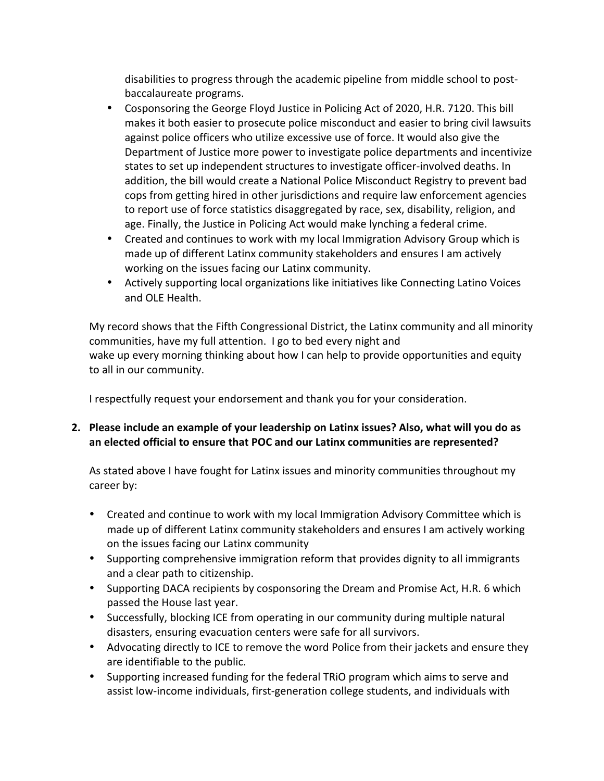disabilities to progress through the academic pipeline from middle school to postbaccalaureate programs.

- Cosponsoring the George Floyd Justice in Policing Act of 2020, H.R. 7120. This bill makes it both easier to prosecute police misconduct and easier to bring civil lawsuits against police officers who utilize excessive use of force. It would also give the Department of Justice more power to investigate police departments and incentivize states to set up independent structures to investigate officer-involved deaths. In addition, the bill would create a National Police Misconduct Registry to prevent bad cops from getting hired in other jurisdictions and require law enforcement agencies to report use of force statistics disaggregated by race, sex, disability, religion, and age. Finally, the Justice in Policing Act would make lynching a federal crime.
- Created and continues to work with my local Immigration Advisory Group which is made up of different Latinx community stakeholders and ensures I am actively working on the issues facing our Latinx community.
- Actively supporting local organizations like initiatives like Connecting Latino Voices and OLE Health.

My record shows that the Fifth Congressional District, the Latinx community and all minority communities, have my full attention. I go to bed every night and wake up every morning thinking about how I can help to provide opportunities and equity to all in our community.

I respectfully request your endorsement and thank you for your consideration.

## **2.** Please include an example of your leadership on Latinx issues? Also, what will you do as an elected official to ensure that POC and our Latinx communities are represented?

As stated above I have fought for Latinx issues and minority communities throughout my career by:

- Created and continue to work with my local Immigration Advisory Committee which is made up of different Latinx community stakeholders and ensures I am actively working on the issues facing our Latinx community
- Supporting comprehensive immigration reform that provides dignity to all immigrants and a clear path to citizenship.
- Supporting DACA recipients by cosponsoring the Dream and Promise Act, H.R. 6 which passed the House last year.
- Successfully, blocking ICE from operating in our community during multiple natural disasters, ensuring evacuation centers were safe for all survivors.
- Advocating directly to ICE to remove the word Police from their jackets and ensure they are identifiable to the public.
- Supporting increased funding for the federal TRiO program which aims to serve and assist low-income individuals, first-generation college students, and individuals with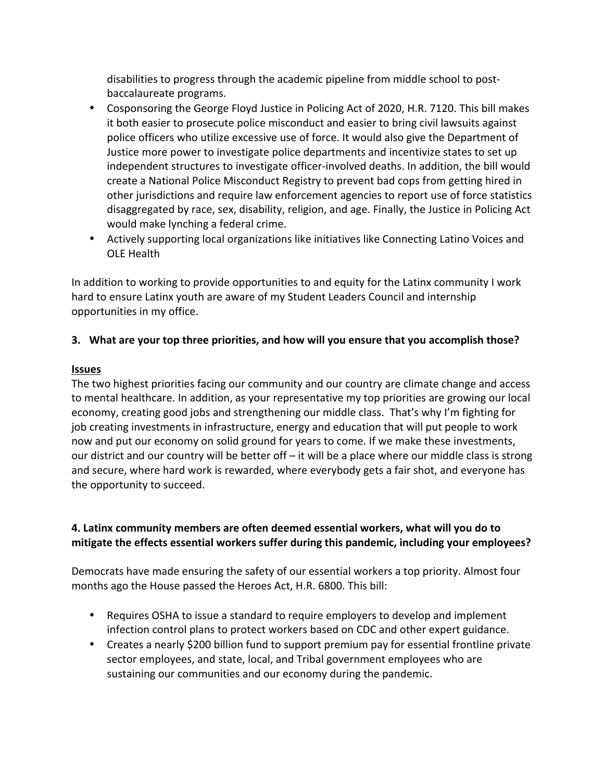disabilities to progress through the academic pipeline from middle school to postbaccalaureate programs.

- Cosponsoring the George Floyd Justice in Policing Act of 2020, H.R. 7120. This bill makes it both easier to prosecute police misconduct and easier to bring civil lawsuits against police officers who utilize excessive use of force. It would also give the Department of Justice more power to investigate police departments and incentivize states to set up independent structures to investigate officer-involved deaths. In addition, the bill would create a National Police Misconduct Registry to prevent bad cops from getting hired in other jurisdictions and require law enforcement agencies to report use of force statistics disaggregated by race, sex, disability, religion, and age. Finally, the Justice in Policing Act would make lynching a federal crime.
- Actively supporting local organizations like initiatives like Connecting Latino Voices and OLE Health

In addition to working to provide opportunities to and equity for the Latinx community I work hard to ensure Latinx youth are aware of my Student Leaders Council and internship opportunities in my office.

## **3.** What are your top three priorities, and how will you ensure that you accomplish those?

### **Issues**

The two highest priorities facing our community and our country are climate change and access to mental healthcare. In addition, as your representative my top priorities are growing our local economy, creating good jobs and strengthening our middle class. That's why I'm fighting for job creating investments in infrastructure, energy and education that will put people to work now and put our economy on solid ground for years to come. If we make these investments, our district and our country will be better off – it will be a place where our middle class is strong and secure, where hard work is rewarded, where everybody gets a fair shot, and everyone has the opportunity to succeed.

## **4. Latinx community members are often deemed essential workers, what will you do to** mitigate the effects essential workers suffer during this pandemic, including your employees?

Democrats have made ensuring the safety of our essential workers a top priority. Almost four months ago the House passed the Heroes Act, H.R. 6800. This bill:

- Requires OSHA to issue a standard to require employers to develop and implement infection control plans to protect workers based on CDC and other expert guidance.
- Creates a nearly \$200 billion fund to support premium pay for essential frontline private sector employees, and state, local, and Tribal government employees who are sustaining our communities and our economy during the pandemic.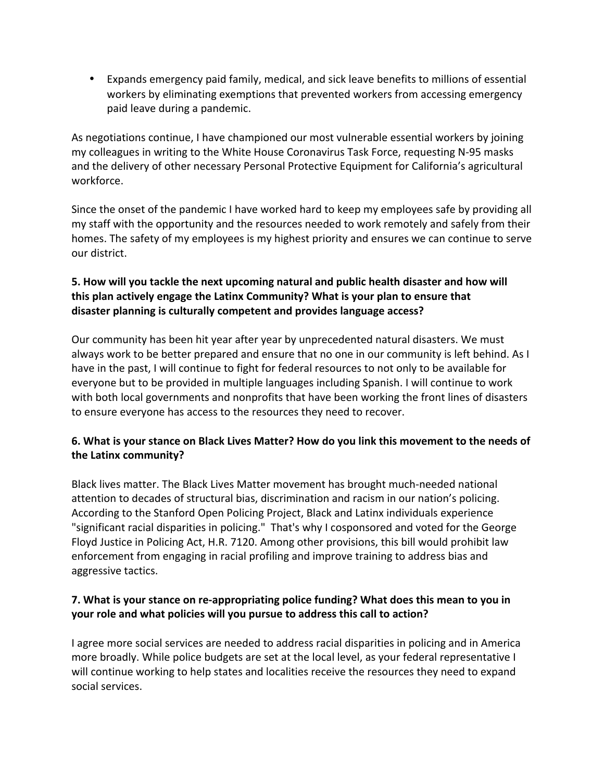• Expands emergency paid family, medical, and sick leave benefits to millions of essential workers by eliminating exemptions that prevented workers from accessing emergency paid leave during a pandemic.

As negotiations continue, I have championed our most vulnerable essential workers by joining my colleagues in writing to the White House Coronavirus Task Force, requesting N-95 masks and the delivery of other necessary Personal Protective Equipment for California's agricultural workforce.

Since the onset of the pandemic I have worked hard to keep my employees safe by providing all my staff with the opportunity and the resources needed to work remotely and safely from their homes. The safety of my employees is my highest priority and ensures we can continue to serve our district. 

## **5.** How will you tackle the next upcoming natural and public health disaster and how will **this plan actively engage the Latinx Community? What is your plan to ensure that** disaster planning is culturally competent and provides language access?

Our community has been hit year after year by unprecedented natural disasters. We must always work to be better prepared and ensure that no one in our community is left behind. As I have in the past, I will continue to fight for federal resources to not only to be available for everyone but to be provided in multiple languages including Spanish. I will continue to work with both local governments and nonprofits that have been working the front lines of disasters to ensure everyone has access to the resources they need to recover.

# 6. What is your stance on Black Lives Matter? How do you link this movement to the needs of **the Latinx community?**

Black lives matter. The Black Lives Matter movement has brought much-needed national attention to decades of structural bias, discrimination and racism in our nation's policing. According to the Stanford Open Policing Project, Black and Latinx individuals experience "significant racial disparities in policing." That's why I cosponsored and voted for the George Floyd Justice in Policing Act, H.R. 7120. Among other provisions, this bill would prohibit law enforcement from engaging in racial profiling and improve training to address bias and aggressive tactics.

## **7.** What is your stance on re-appropriating police funding? What does this mean to you in **your role and what policies will you pursue to address this call to action?**

I agree more social services are needed to address racial disparities in policing and in America more broadly. While police budgets are set at the local level, as your federal representative I will continue working to help states and localities receive the resources they need to expand social services.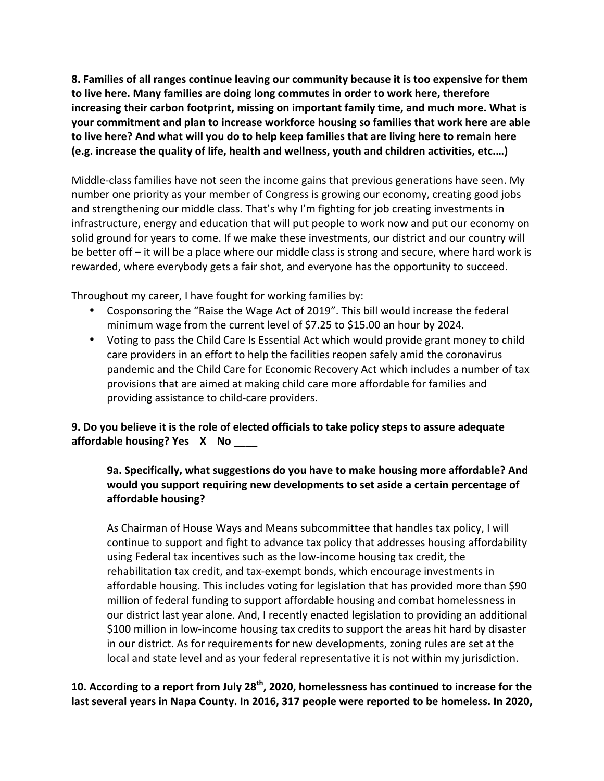**8. Families of all ranges continue leaving our community because it is too expensive for them** to live here. Many families are doing long commutes in order to work here, therefore increasing their carbon footprint, missing on important family time, and much more. What is **your commitment and plan to increase workforce housing so families that work here are able** to live here? And what will you do to help keep families that are living here to remain here (e.g. increase the quality of life, health and wellness, youth and children activities, etc....)

Middle-class families have not seen the income gains that previous generations have seen. My number one priority as your member of Congress is growing our economy, creating good jobs and strengthening our middle class. That's why I'm fighting for job creating investments in infrastructure, energy and education that will put people to work now and put our economy on solid ground for years to come. If we make these investments, our district and our country will be better off – it will be a place where our middle class is strong and secure, where hard work is rewarded, where everybody gets a fair shot, and everyone has the opportunity to succeed.

Throughout my career, I have fought for working families by:

- Cosponsoring the "Raise the Wage Act of 2019". This bill would increase the federal minimum wage from the current level of  $$7.25$  to  $$15.00$  an hour by 2024.
- Voting to pass the Child Care Is Essential Act which would provide grant money to child care providers in an effort to help the facilities reopen safely amid the coronavirus pandemic and the Child Care for Economic Recovery Act which includes a number of tax provisions that are aimed at making child care more affordable for families and providing assistance to child-care providers.

# **9.** Do you believe it is the role of elected officials to take policy steps to assure adequate **affordable housing? Yes X No**

## **9a.** Specifically, what suggestions do you have to make housing more affordable? And would you support requiring new developments to set aside a certain percentage of **affordable housing?**

As Chairman of House Ways and Means subcommittee that handles tax policy, I will continue to support and fight to advance tax policy that addresses housing affordability using Federal tax incentives such as the low-income housing tax credit, the rehabilitation tax credit, and tax-exempt bonds, which encourage investments in affordable housing. This includes voting for legislation that has provided more than \$90 million of federal funding to support affordable housing and combat homelessness in our district last year alone. And, I recently enacted legislation to providing an additional \$100 million in low-income housing tax credits to support the areas hit hard by disaster in our district. As for requirements for new developments, zoning rules are set at the local and state level and as your federal representative it is not within my jurisdiction.

**10.** According to a report from July 28<sup>th</sup>, 2020, homelessness has continued to increase for the last several years in Napa County. In 2016, 317 people were reported to be homeless. In 2020,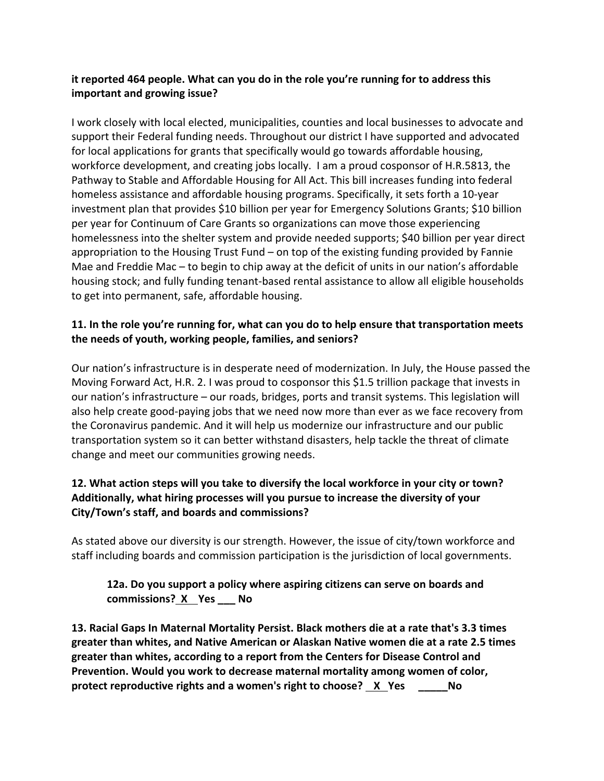## it reported 464 people. What can you do in the role you're running for to address this **important and growing issue?**

I work closely with local elected, municipalities, counties and local businesses to advocate and support their Federal funding needs. Throughout our district I have supported and advocated for local applications for grants that specifically would go towards affordable housing, workforce development, and creating jobs locally. I am a proud cosponsor of H.R.5813, the Pathway to Stable and Affordable Housing for All Act. This bill increases funding into federal homeless assistance and affordable housing programs. Specifically, it sets forth a 10-year investment plan that provides \$10 billion per year for Emergency Solutions Grants; \$10 billion per year for Continuum of Care Grants so organizations can move those experiencing homelessness into the shelter system and provide needed supports; \$40 billion per year direct appropriation to the Housing Trust Fund – on top of the existing funding provided by Fannie Mae and Freddie Mac – to begin to chip away at the deficit of units in our nation's affordable housing stock; and fully funding tenant-based rental assistance to allow all eligible households to get into permanent, safe, affordable housing.

## **11.** In the role you're running for, what can you do to help ensure that transportation meets the needs of youth, working people, families, and seniors?

Our nation's infrastructure is in desperate need of modernization. In July, the House passed the Moving Forward Act, H.R. 2. I was proud to cosponsor this \$1.5 trillion package that invests in our nation's infrastructure – our roads, bridges, ports and transit systems. This legislation will also help create good-paying jobs that we need now more than ever as we face recovery from the Coronavirus pandemic. And it will help us modernize our infrastructure and our public transportation system so it can better withstand disasters, help tackle the threat of climate change and meet our communities growing needs.

## **12.** What action steps will you take to diversify the local workforce in your city or town? Additionally, what hiring processes will you pursue to increase the diversity of your **City/Town's staff, and boards and commissions?**

As stated above our diversity is our strength. However, the issue of city/town workforce and staff including boards and commission participation is the jurisdiction of local governments.

## **12a.** Do you support a policy where aspiring citizens can serve on boards and **commissions? X** Yes \_\_\_ No

**13. Racial Gaps In Maternal Mortality Persist. Black mothers die at a rate that's 3.3 times** greater than whites, and Native American or Alaskan Native women die at a rate 2.5 times greater than whites, according to a report from the Centers for Disease Control and **Prevention.** Would you work to decrease maternal mortality among women of color, **protect** reproductive rights and a women's right to choose? X Yes \_\_\_\_\_\_No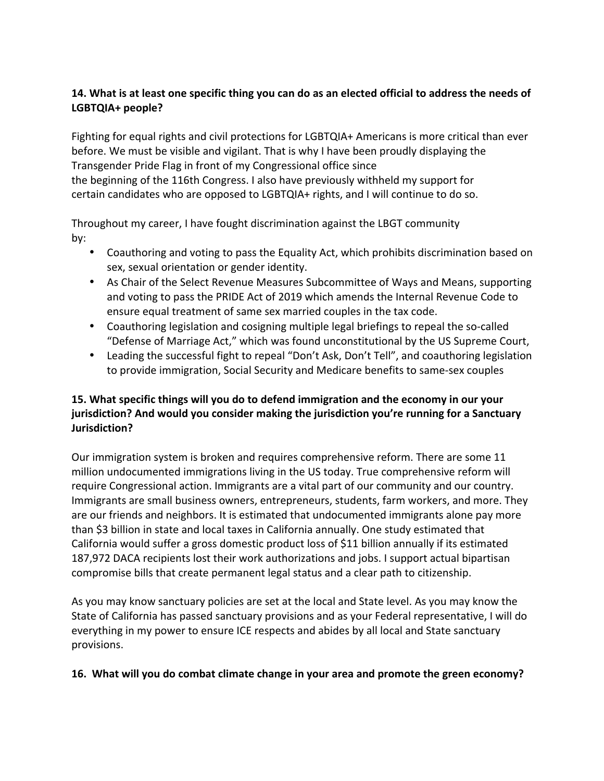## **14.** What is at least one specific thing you can do as an elected official to address the needs of **LGBTQIA+ people?**

Fighting for equal rights and civil protections for LGBTQIA+ Americans is more critical than ever before. We must be visible and vigilant. That is why I have been proudly displaying the Transgender Pride Flag in front of my Congressional office since the beginning of the 116th Congress. I also have previously withheld my support for certain candidates who are opposed to LGBTQIA+ rights, and I will continue to do so.

Throughout my career, I have fought discrimination against the LBGT community by:

- Coauthoring and voting to pass the Equality Act, which prohibits discrimination based on sex, sexual orientation or gender identity.
- As Chair of the Select Revenue Measures Subcommittee of Ways and Means, supporting and voting to pass the PRIDE Act of 2019 which amends the Internal Revenue Code to ensure equal treatment of same sex married couples in the tax code.
- Coauthoring legislation and cosigning multiple legal briefings to repeal the so-called "Defense of Marriage Act," which was found unconstitutional by the US Supreme Court,
- Leading the successful fight to repeal "Don't Ask, Don't Tell", and coauthoring legislation to provide immigration, Social Security and Medicare benefits to same-sex couples

## 15. What specific things will you do to defend immigration and the economy in our your **jurisdiction?** And would you consider making the jurisdiction you're running for a Sanctuary **Jurisdiction?**

Our immigration system is broken and requires comprehensive reform. There are some 11 million undocumented immigrations living in the US today. True comprehensive reform will require Congressional action. Immigrants are a vital part of our community and our country. Immigrants are small business owners, entrepreneurs, students, farm workers, and more. They are our friends and neighbors. It is estimated that undocumented immigrants alone pay more than \$3 billion in state and local taxes in California annually. One study estimated that California would suffer a gross domestic product loss of \$11 billion annually if its estimated 187,972 DACA recipients lost their work authorizations and jobs. I support actual bipartisan compromise bills that create permanent legal status and a clear path to citizenship.

As you may know sanctuary policies are set at the local and State level. As you may know the State of California has passed sanctuary provisions and as your Federal representative, I will do everything in my power to ensure ICE respects and abides by all local and State sanctuary provisions.

### **16.** What will you do combat climate change in your area and promote the green economy?